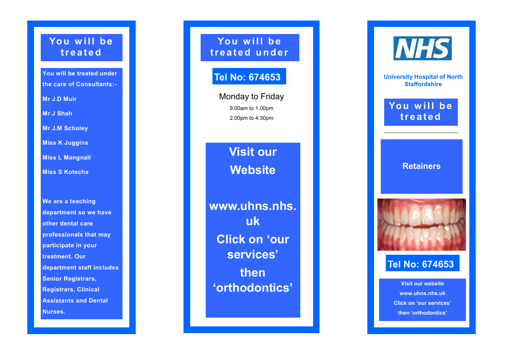### You will be **t r e a t e d**

**You will be treated under the care of Consultants: -**

**Mr J.D Muir**

**Mr J Shah**

**Mr J.M Scholey**

**Miss K Juggins**

**Miss L Mangnall**

**Miss S Kotecha**

**We are a teaching department so we have other dental care professionals that may participate in your treatment. Our department staff includes Senior Registrars, Registrars, Clinical Assistants and Dental Nurses.**

You will be **t r e a t e d u n d e r** 

## **Tel No: 674653**

Monday to Friday 9.00am to 1.00pm 2.00pm to 4.30pm

> **Visit our Website**

**www.uhns.nhs. uk Click on 'our services' then 'orthodontics'**



**University Hospital of North Staffordshire**

You will be **t r e a t e d** 

#### **Retainers**



# **Tel No: 674653**

**Visit our website www.uhns.nhs.uk Click on 'our services' then 'orthodontics'**